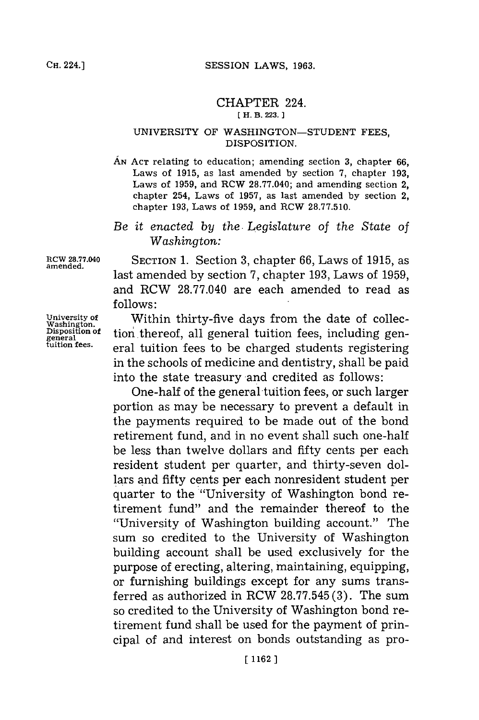## CHAPTER 224. **(H. B. 223. 1**

## UNIVERSITY OF **WASHINGTON-STUDENT FEES,** DISPOSITION.

- **AN ACT** relating to education; amending section **3,** chapter **66,** Laws of **1915,** as last amended **by** section **7,** chapter **193,** Laws of **1959,** and ROW **28.77.040;** and amending section 2, chapter 254, Laws of **1957,** as last amended **by** section 2, chapter **193,** Laws of **1959,** and ROW **28.77.510.**
- *Be it enacted by* the. *Legislature of the State of Washington:*

**amended.**

**11CW 28.77.040** SECTION **1.** Section **3,** chapter **66,** Laws of **1915,** as last amended **by** section **7,** chapter **193,** Laws of **1959,** and RCW **28.77.040** are each amended to read as **follows:**

University of Within thirty-five days from the date of collec-<br>Washington.<br>Disposition of tion thereof all general tuition fees including gen-**Disposition of** tion thereof, all general tuition fees, including general tuition fees. eral tuition fees to be charged students registering in the schools of medicine and dentistry, shall be paid into the state treasury and credited as follows:

> One-half of the general tuition fees, or such larger portion as may be necessary to prevent a default in the payments required to be made out of the bond retirement fund, and in no event shall such one-half be less than twelve dollars and fifty cents per each resident student per quarter, and thirty-seven dollars and fifty cents per each nonresident student per quarter to the "University of Washington bond retirement fund" and the remainder thereof to the "University of Washington building account." The sum so credited to the University of Washington building account shall be used exclusively for the purpose of erecting, altering, maintaining, equipping, or furnishing buildings except for any sums transferred as authorized in RCW **28.77.545 (3).** The sum so credited to the University of Washington bond retirement fund shall be used **for** the payment of principal of and interest on bonds outstanding as pro-